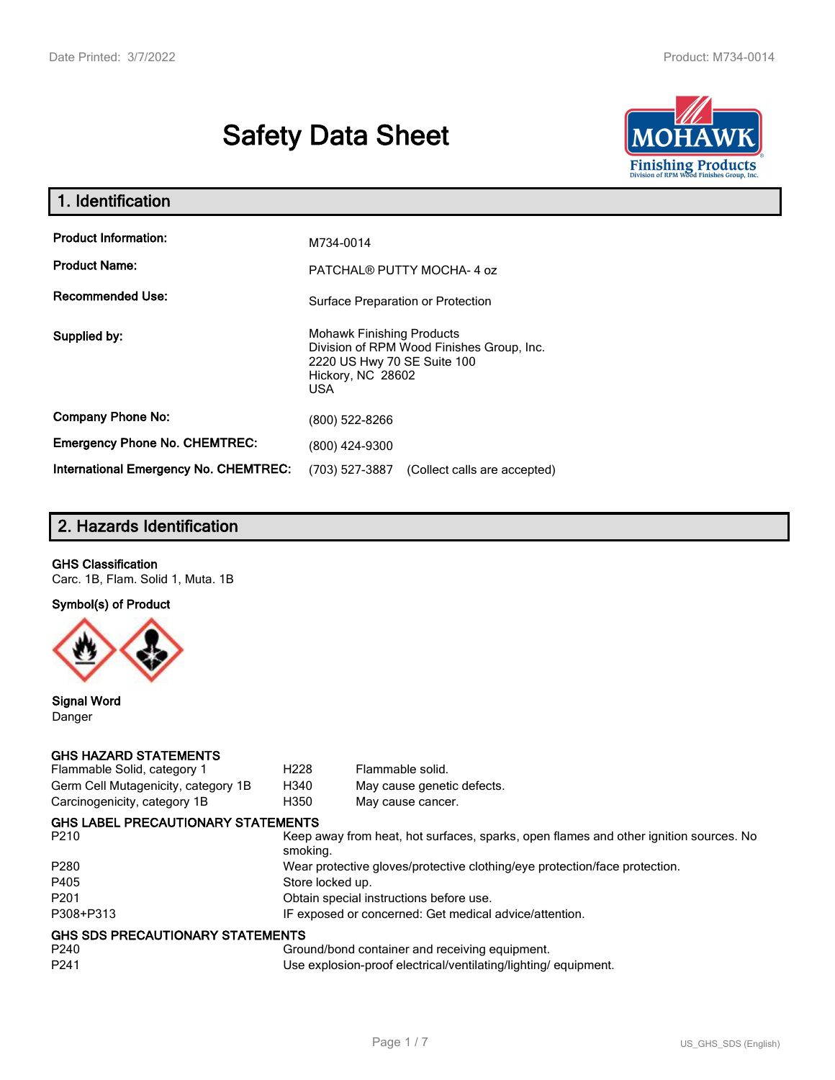# **Safety Data Sheet**



| 1. Identification                            |                                                                                                                                                 |
|----------------------------------------------|-------------------------------------------------------------------------------------------------------------------------------------------------|
| <b>Product Information:</b>                  | M734-0014                                                                                                                                       |
| <b>Product Name:</b>                         | PATCHAL® PUTTY MOCHA-4 oz                                                                                                                       |
| <b>Recommended Use:</b>                      | Surface Preparation or Protection                                                                                                               |
| Supplied by:                                 | <b>Mohawk Finishing Products</b><br>Division of RPM Wood Finishes Group, Inc.<br>2220 US Hwy 70 SE Suite 100<br>Hickory, NC 28602<br><b>USA</b> |
| <b>Company Phone No:</b>                     | (800) 522-8266                                                                                                                                  |
| <b>Emergency Phone No. CHEMTREC:</b>         | (800) 424-9300                                                                                                                                  |
| <b>International Emergency No. CHEMTREC:</b> | (703) 527-3887<br>(Collect calls are accepted)                                                                                                  |

# **2. Hazards Identification**

## **GHS Classification**

Carc. 1B, Flam. Solid 1, Muta. 1B

**Symbol(s) of Product**



**Signal Word** Danger

#### **GHS HAZARD STATEMENTS**

| Flammable Solid, category 1         | H <sub>228</sub>                                                           | Flammable solid.                                                                      |  |
|-------------------------------------|----------------------------------------------------------------------------|---------------------------------------------------------------------------------------|--|
| Germ Cell Mutagenicity, category 1B | H340                                                                       | May cause genetic defects.                                                            |  |
| Carcinogenicity, category 1B        | H350                                                                       | May cause cancer.                                                                     |  |
| GHS LABEL PRECAUTIONARY STATEMENTS  |                                                                            |                                                                                       |  |
| P210                                | smoking.                                                                   | Keep away from heat, hot surfaces, sparks, open flames and other ignition sources. No |  |
| P280                                | Wear protective gloves/protective clothing/eye protection/face protection. |                                                                                       |  |
| P405                                | Store locked up.                                                           |                                                                                       |  |
| P201                                | Obtain special instructions before use.                                    |                                                                                       |  |
| P308+P313                           | IF exposed or concerned: Get medical advice/attention.                     |                                                                                       |  |
| GHS SDS PRECAUTIONARY STATEMENTS    |                                                                            |                                                                                       |  |
| P240                                |                                                                            | Ground/bond container and receiving equipment.                                        |  |
| P241                                |                                                                            | Use explosion-proof electrical/ventilating/lighting/ equipment.                       |  |
|                                     |                                                                            |                                                                                       |  |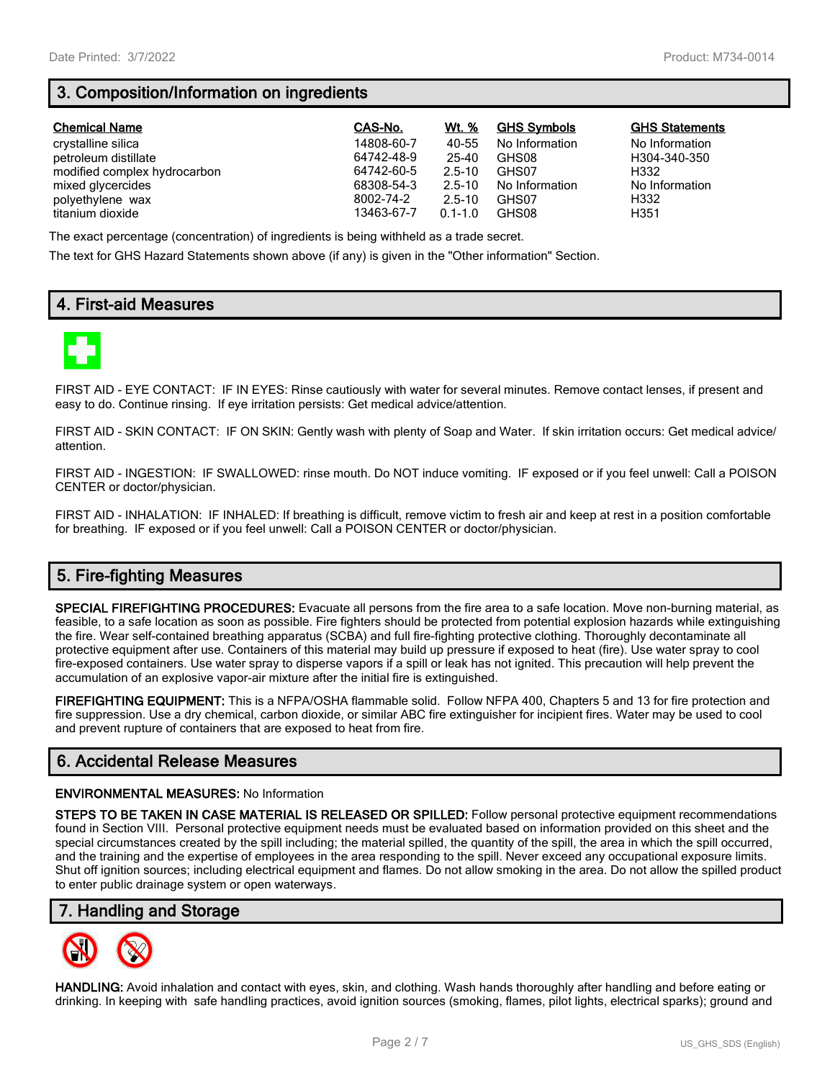# **3. Composition/Information on ingredients**

| <b>Chemical Name</b>         | CAS-No.    | Wt. %       | <b>GHS Symbols</b> | <b>GHS Statements</b> |
|------------------------------|------------|-------------|--------------------|-----------------------|
| crystalline silica           | 14808-60-7 | 40-55       | No Information     | No Information        |
| petroleum distillate         | 64742-48-9 | 25-40       | GHS08              | H304-340-350          |
| modified complex hydrocarbon | 64742-60-5 | $2.5 - 10$  | GHS07              | H332                  |
| mixed glycercides            | 68308-54-3 | $2.5 - 10$  | No Information     | No Information        |
| polyethylene wax             | 8002-74-2  | $2.5 - 10$  | GHS07              | H332                  |
| titanium dioxide             | 13463-67-7 | $0.1 - 1.0$ | GHS08              | H351                  |

The exact percentage (concentration) of ingredients is being withheld as a trade secret.

The text for GHS Hazard Statements shown above (if any) is given in the "Other information" Section.

# **4. First-aid Measures**



FIRST AID - EYE CONTACT: IF IN EYES: Rinse cautiously with water for several minutes. Remove contact lenses, if present and easy to do. Continue rinsing. If eye irritation persists: Get medical advice/attention.

FIRST AID - SKIN CONTACT: IF ON SKIN: Gently wash with plenty of Soap and Water. If skin irritation occurs: Get medical advice/ attention.

FIRST AID - INGESTION: IF SWALLOWED: rinse mouth. Do NOT induce vomiting. IF exposed or if you feel unwell: Call a POISON CENTER or doctor/physician.

FIRST AID - INHALATION: IF INHALED: If breathing is difficult, remove victim to fresh air and keep at rest in a position comfortable for breathing. IF exposed or if you feel unwell: Call a POISON CENTER or doctor/physician.

# **5. Fire-fighting Measures**

**SPECIAL FIREFIGHTING PROCEDURES:** Evacuate all persons from the fire area to a safe location. Move non-burning material, as feasible, to a safe location as soon as possible. Fire fighters should be protected from potential explosion hazards while extinguishing the fire. Wear self-contained breathing apparatus (SCBA) and full fire-fighting protective clothing. Thoroughly decontaminate all protective equipment after use. Containers of this material may build up pressure if exposed to heat (fire). Use water spray to cool fire-exposed containers. Use water spray to disperse vapors if a spill or leak has not ignited. This precaution will help prevent the accumulation of an explosive vapor-air mixture after the initial fire is extinguished.

**FIREFIGHTING EQUIPMENT:** This is a NFPA/OSHA flammable solid. Follow NFPA 400, Chapters 5 and 13 for fire protection and fire suppression. Use a dry chemical, carbon dioxide, or similar ABC fire extinguisher for incipient fires. Water may be used to cool and prevent rupture of containers that are exposed to heat from fire.

# **6. Accidental Release Measures**

#### **ENVIRONMENTAL MEASURES:** No Information

**STEPS TO BE TAKEN IN CASE MATERIAL IS RELEASED OR SPILLED:** Follow personal protective equipment recommendations found in Section VIII. Personal protective equipment needs must be evaluated based on information provided on this sheet and the special circumstances created by the spill including; the material spilled, the quantity of the spill, the area in which the spill occurred, and the training and the expertise of employees in the area responding to the spill. Never exceed any occupational exposure limits. Shut off ignition sources; including electrical equipment and flames. Do not allow smoking in the area. Do not allow the spilled product to enter public drainage system or open waterways.

## **7. Handling and Storage**



**HANDLING:** Avoid inhalation and contact with eyes, skin, and clothing. Wash hands thoroughly after handling and before eating or drinking. In keeping with safe handling practices, avoid ignition sources (smoking, flames, pilot lights, electrical sparks); ground and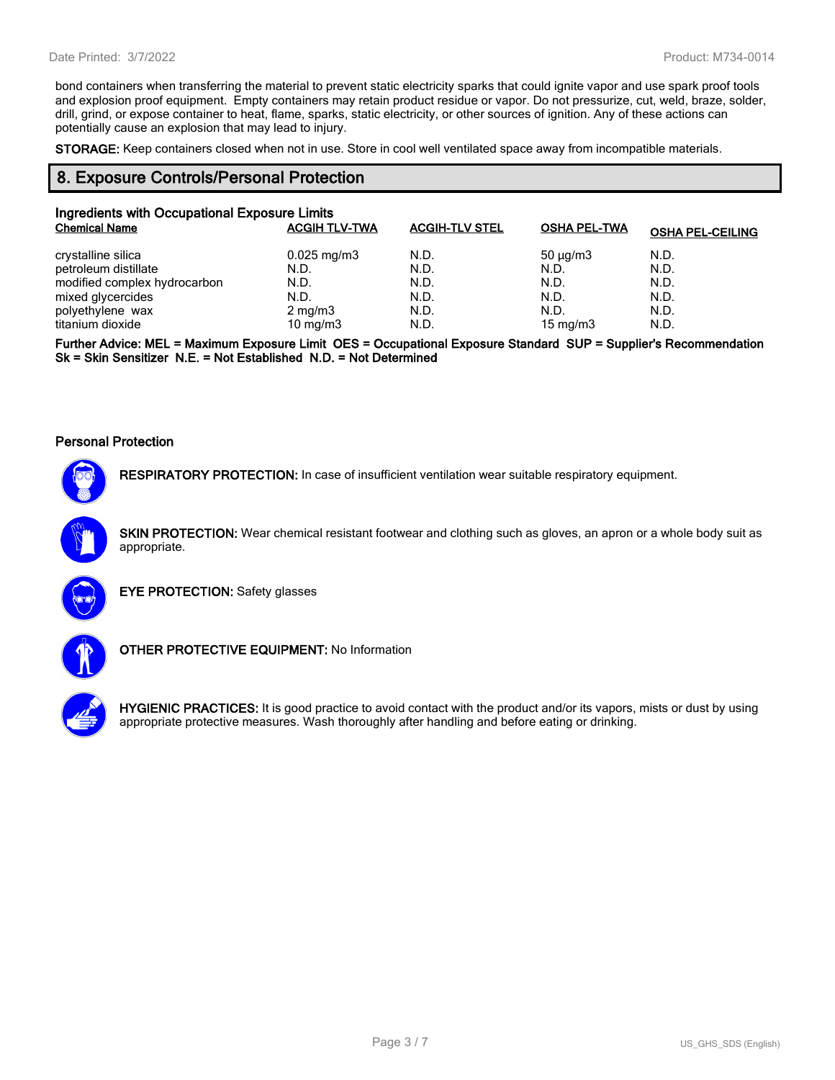bond containers when transferring the material to prevent static electricity sparks that could ignite vapor and use spark proof tools and explosion proof equipment. Empty containers may retain product residue or vapor. Do not pressurize, cut, weld, braze, solder, drill, grind, or expose container to heat, flame, sparks, static electricity, or other sources of ignition. Any of these actions can potentially cause an explosion that may lead to injury.

**STORAGE:** Keep containers closed when not in use. Store in cool well ventilated space away from incompatible materials.

## **8. Exposure Controls/Personal Protection**

| Ingredients with Occupational Exposure Limits |                         |                       |                     |                         |  |
|-----------------------------------------------|-------------------------|-----------------------|---------------------|-------------------------|--|
| <b>Chemical Name</b>                          | <b>ACGIH TLV-TWA</b>    | <b>ACGIH-TLV STEL</b> | <b>OSHA PEL-TWA</b> | <b>OSHA PEL-CEILING</b> |  |
| crystalline silica                            | $0.025 \,\mathrm{mg/m}$ | N.D.                  | $50 \mu q/m3$       | N.D.                    |  |
| petroleum distillate                          | N.D.                    | N.D.                  | N.D.                | N.D.                    |  |
| modified complex hydrocarbon                  | N.D.                    | N.D.                  | N.D.                | N.D.                    |  |
| mixed glycercides                             | N.D.                    | N.D.                  | N.D.                | N.D.                    |  |
| polyethylene wax                              | $2 \text{ mg/m}$ 3      | N.D.                  | N.D.                | N.D.                    |  |
| titanium dioxide                              | 10 mg/m $3$             | N.D.                  | 15 mg/m $3$         | N.D.                    |  |

**Further Advice: MEL = Maximum Exposure Limit OES = Occupational Exposure Standard SUP = Supplier's Recommendation Sk = Skin Sensitizer N.E. = Not Established N.D. = Not Determined**

#### **Personal Protection**



**RESPIRATORY PROTECTION:** In case of insufficient ventilation wear suitable respiratory equipment.

**SKIN PROTECTION:** Wear chemical resistant footwear and clothing such as gloves, an apron or a whole body suit as appropriate.



**EYE PROTECTION:** Safety glasses



**OTHER PROTECTIVE EQUIPMENT:** No Information



**HYGIENIC PRACTICES:** It is good practice to avoid contact with the product and/or its vapors, mists or dust by using appropriate protective measures. Wash thoroughly after handling and before eating or drinking.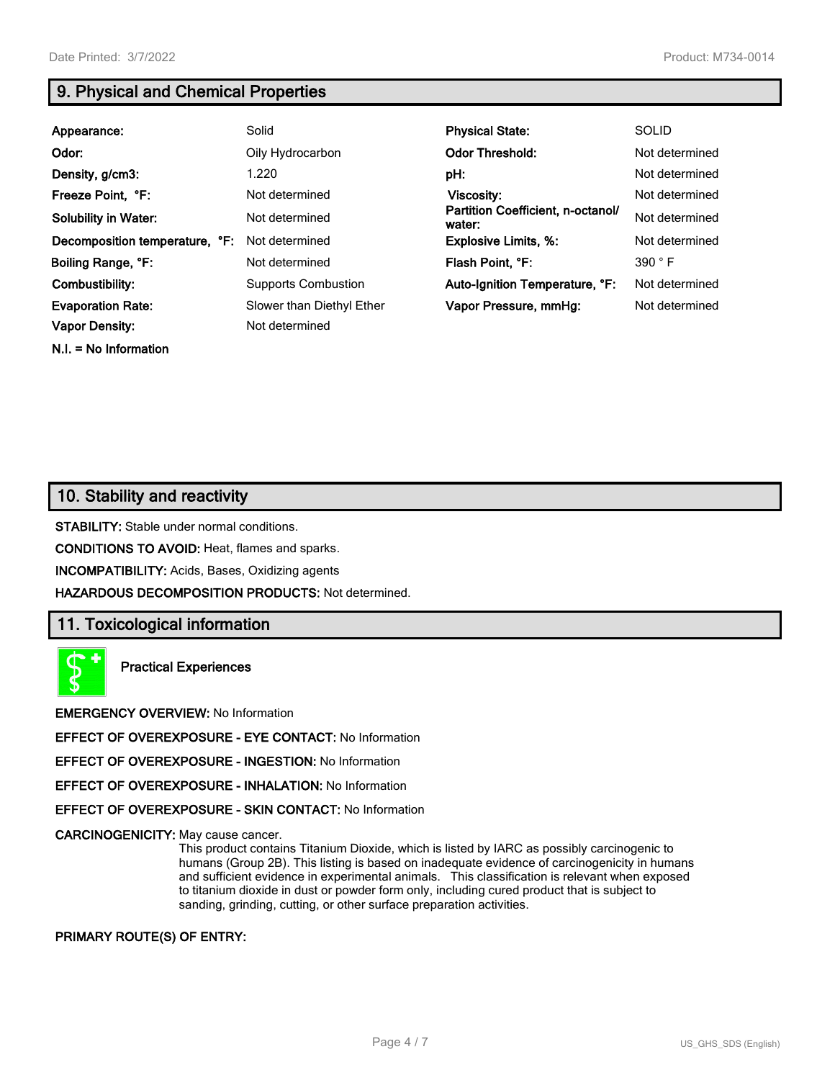**N.I. = No Information**

# **9. Physical and Chemical Properties**

| Appearance:                                       | Solid                                       | <b>Physical State:</b>                      | <b>SOLID</b>   |
|---------------------------------------------------|---------------------------------------------|---------------------------------------------|----------------|
| Odor:                                             | Oily Hydrocarbon                            | <b>Odor Threshold:</b>                      | Not determined |
| Density, g/cm3:                                   | 1.220                                       | pH:                                         | Not determined |
| Freeze Point, °F:                                 | Not determined                              | Viscosity:                                  | Not determined |
| <b>Solubility in Water:</b>                       | Not determined                              | Partition Coefficient, n-octanol/<br>water: | Not determined |
| Decomposition temperature, °F:                    | Not determined                              | <b>Explosive Limits, %:</b>                 | Not determined |
| Boiling Range, °F:                                | Not determined                              | Flash Point, °F:                            | 390 °F         |
| Combustibility:                                   | <b>Supports Combustion</b>                  | Auto-Ignition Temperature, °F:              | Not determined |
| <b>Evaporation Rate:</b><br><b>Vapor Density:</b> | Slower than Diethyl Ether<br>Not determined | Vapor Pressure, mmHg:                       | Not determined |

# **10. Stability and reactivity**

**STABILITY:** Stable under normal conditions.

**CONDITIONS TO AVOID:** Heat, flames and sparks.

**INCOMPATIBILITY:** Acids, Bases, Oxidizing agents

**HAZARDOUS DECOMPOSITION PRODUCTS:** Not determined.

## **11. Toxicological information**

**Practical Experiences**

**EMERGENCY OVERVIEW:** No Information

**EFFECT OF OVEREXPOSURE - EYE CONTACT:** No Information

**EFFECT OF OVEREXPOSURE - INGESTION:** No Information

**EFFECT OF OVEREXPOSURE - INHALATION:** No Information

**EFFECT OF OVEREXPOSURE - SKIN CONTACT:** No Information

**CARCINOGENICITY:** May cause cancer.

This product contains Titanium Dioxide, which is listed by IARC as possibly carcinogenic to humans (Group 2B). This listing is based on inadequate evidence of carcinogenicity in humans and sufficient evidence in experimental animals. This classification is relevant when exposed to titanium dioxide in dust or powder form only, including cured product that is subject to sanding, grinding, cutting, or other surface preparation activities.

#### **PRIMARY ROUTE(S) OF ENTRY:**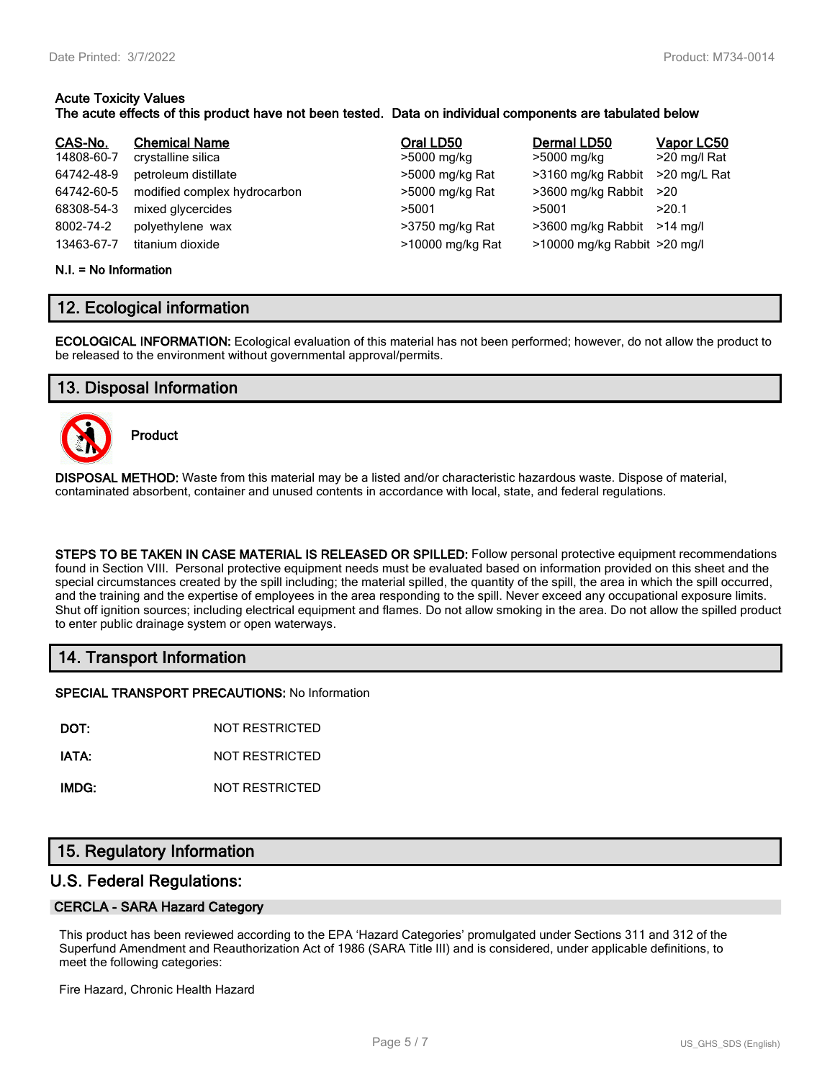# **Acute Toxicity Values**

## **The acute effects of this product have not been tested. Data on individual components are tabulated below**

| CAS-No.    | <b>Chemical Name</b>         | Oral LD50        | Dermal LD50                  | Vapor LC50   |
|------------|------------------------------|------------------|------------------------------|--------------|
| 14808-60-7 | crystalline silica           | >5000 mg/kg      | >5000 mg/kg                  | >20 mg/l Rat |
| 64742-48-9 | petroleum distillate         | >5000 mg/kg Rat  | >3160 mg/kg Rabbit           | >20 mg/L Rat |
| 64742-60-5 | modified complex hydrocarbon | >5000 mg/kg Rat  | >3600 mg/kg Rabbit           | >20          |
| 68308-54-3 | mixed glycercides            | >5001            | >5001                        | >20.1        |
| 8002-74-2  | polyethylene wax             | >3750 mg/kg Rat  | >3600 mg/kg Rabbit >14 mg/l  |              |
| 13463-67-7 | titanium dioxide             | >10000 mg/kg Rat | >10000 mg/kg Rabbit >20 mg/l |              |

#### **N.I. = No Information**

# **12. Ecological information**

**ECOLOGICAL INFORMATION:** Ecological evaluation of this material has not been performed; however, do not allow the product to be released to the environment without governmental approval/permits.

# **13. Disposal Information**



**Product**

**DISPOSAL METHOD:** Waste from this material may be a listed and/or characteristic hazardous waste. Dispose of material, contaminated absorbent, container and unused contents in accordance with local, state, and federal regulations.

**STEPS TO BE TAKEN IN CASE MATERIAL IS RELEASED OR SPILLED:** Follow personal protective equipment recommendations found in Section VIII. Personal protective equipment needs must be evaluated based on information provided on this sheet and the special circumstances created by the spill including; the material spilled, the quantity of the spill, the area in which the spill occurred, and the training and the expertise of employees in the area responding to the spill. Never exceed any occupational exposure limits. Shut off ignition sources; including electrical equipment and flames. Do not allow smoking in the area. Do not allow the spilled product to enter public drainage system or open waterways.

# **14. Transport Information**

**SPECIAL TRANSPORT PRECAUTIONS:** No Information

**DOT:** NOT RESTRICTED

**IATA:** NOT RESTRICTED

**IMDG:** NOT RESTRICTED

# **15. Regulatory Information**

## **U.S. Federal Regulations:**

#### **CERCLA - SARA Hazard Category**

This product has been reviewed according to the EPA 'Hazard Categories' promulgated under Sections 311 and 312 of the Superfund Amendment and Reauthorization Act of 1986 (SARA Title III) and is considered, under applicable definitions, to meet the following categories:

Fire Hazard, Chronic Health Hazard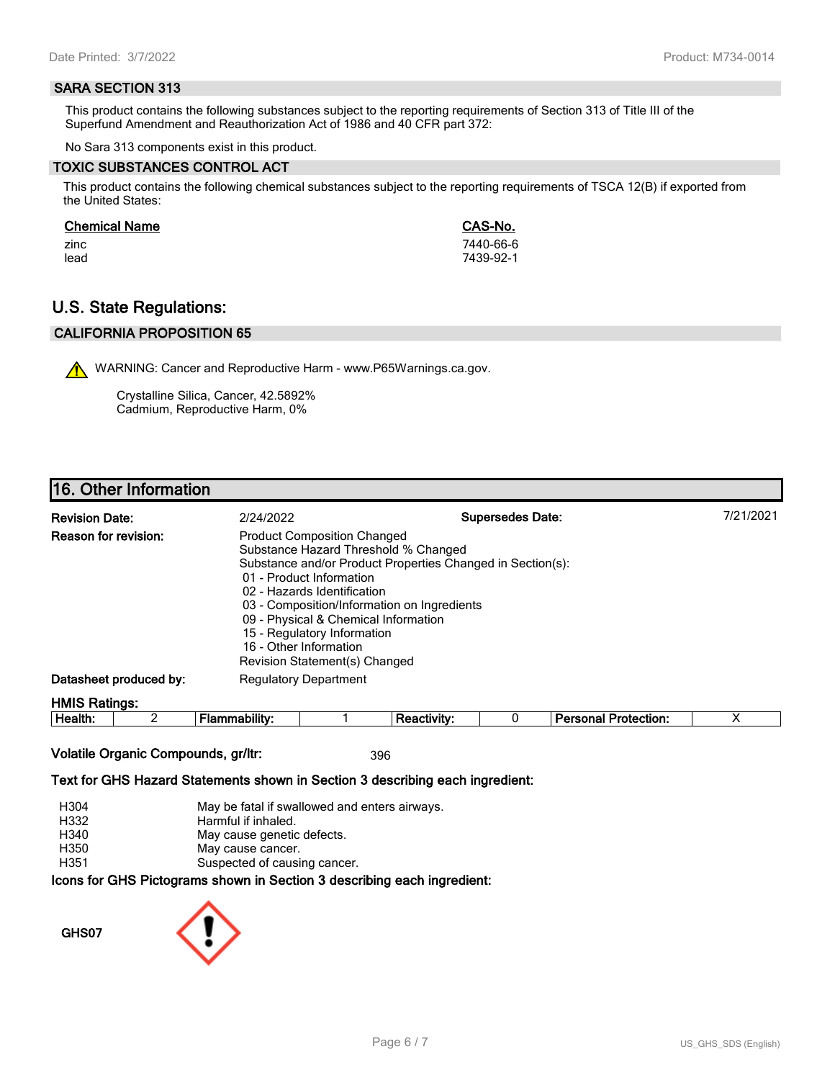#### **SARA SECTION 313**

This product contains the following substances subject to the reporting requirements of Section 313 of Title III of the Superfund Amendment and Reauthorization Act of 1986 and 40 CFR part 372:

No Sara 313 components exist in this product.

#### **TOXIC SUBSTANCES CONTROL ACT**

This product contains the following chemical substances subject to the reporting requirements of TSCA 12(B) if exported from the United States:

#### **Chemical Name CAS-No.**

zinc 7440-66-6 lead 7439-92-1

# **U.S. State Regulations:**

## **CALIFORNIA PROPOSITION 65**

WARNING: Cancer and Reproductive Harm - www.P65Warnings.ca.gov.

Crystalline Silica, Cancer, 42.5892% Cadmium, Reproductive Harm, 0%

# **16. Other Information**

| <b>Revision Date:</b>       | 2/24/2022                                                                                                                                                                                                                                                                                                              | <b>Supersedes Date:</b>                                    | 7/21/2021 |
|-----------------------------|------------------------------------------------------------------------------------------------------------------------------------------------------------------------------------------------------------------------------------------------------------------------------------------------------------------------|------------------------------------------------------------|-----------|
| <b>Reason for revision:</b> | <b>Product Composition Changed</b><br>Substance Hazard Threshold % Changed<br>01 - Product Information<br>02 - Hazards Identification<br>03 - Composition/Information on Ingredients<br>09 - Physical & Chemical Information<br>15 - Regulatory Information<br>16 - Other Information<br>Revision Statement(s) Changed | Substance and/or Product Properties Changed in Section(s): |           |
| Datasheet produced by:      | <b>Regulatory Department</b>                                                                                                                                                                                                                                                                                           |                                                            |           |
| <b>HMIS Ratings:</b>        |                                                                                                                                                                                                                                                                                                                        |                                                            |           |

| . .<br>-<br>ле<br><br><br> |  |  | - --<br>$ -$<br>.<br>лил |  |
|----------------------------|--|--|--------------------------|--|
|                            |  |  |                          |  |

## **Volatile Organic Compounds, gr/ltr:** 396

#### **Text for GHS Hazard Statements shown in Section 3 describing each ingredient:**

| H304 | May be fatal if swallowed and enters airways.                   |
|------|-----------------------------------------------------------------|
| H332 | Harmful if inhaled.                                             |
| H340 | May cause genetic defects.                                      |
| H350 | May cause cancer.                                               |
| H351 | Suspected of causing cancer.                                    |
|      | cons for GHS Pictograms shown in Section 3 describing each ingr |

## **Icons for GHS Pictograms shown in Section 3 describing each ingredient:**

**GHS07**